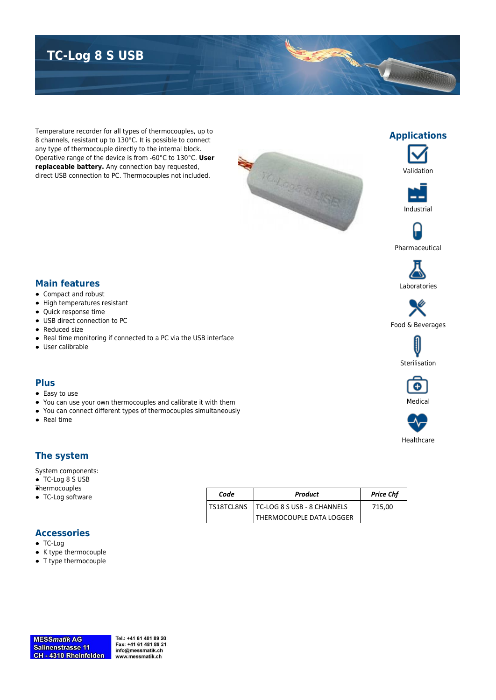## **TC-Log 8 S USB**

Temperature recorder for all types of thermocouples, up to 8 channels, resistant up to 130°C. It is possible to connect any type of thermocouple directly to the internal block. Operative range of the device is from -60°C to 130°C. **User replaceable battery.** Any connection bay requested, direct USB connection to PC. Thermocouples not included.

Real time monitoring if connected to a PC via the USB interface

You can use your own thermocouples and calibrate it with them You can connect different types of thermocouples simultaneously





Validation

**Applications**

 $\preccurlyeq$ 



Pharmaceutical



Food & Beverages





# Healthcare

#### **The system**

System components:

**Main features** • Compact and robust High temperatures resistant Quick response time USB direct connection to PC

• Reduced size

User calibrable

**Plus** • Easy to use

• Real time

TC-Log 8 S USB **Thermocouples** 

• TC-Log software

| Code | <b>Product</b>                           | <b>Price Chf</b> |
|------|------------------------------------------|------------------|
|      | TS18TCL8NS   TC-LOG 8 S USB - 8 CHANNELS | 715.00           |
|      | THERMOCOUPLE DATA LOGGER                 |                  |

#### **Accessories**

- TC-Log
- K type thermocouple
- T type thermocouple

Tel.: +41 61 481 89 20 Fax: +41 61 481 89 21 info@messmatik.ch www.messmatik.ch